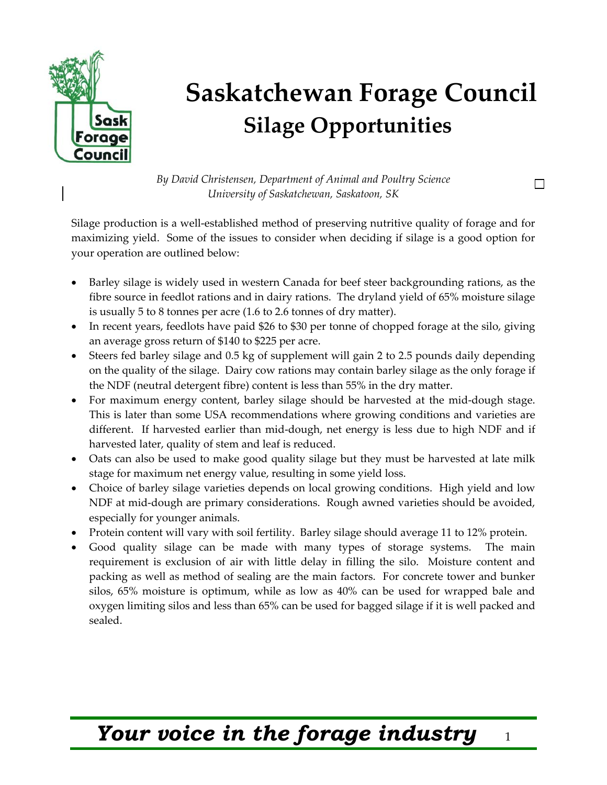

## **Saskatchewan Forage Council Silage Opportunities**

*By David Christensen, Department of Animal and Poultry Science University of Saskatchewan, Saskatoon, SK* 

Silage production is a well-established method of preserving nutritive quality of forage and for maximizing yield. Some of the issues to consider when deciding if silage is a good option for your operation are outlined below:

- Barley silage is widely used in western Canada for beef steer backgrounding rations, as the fibre source in feedlot rations and in dairy rations. The dryland yield of 65% moisture silage is usually 5 to 8 tonnes per acre (1.6 to 2.6 tonnes of dry matter).
- In recent years, feedlots have paid \$26 to \$30 per tonne of chopped forage at the silo, giving an average gross return of \$140 to \$225 per acre.
- Steers fed barley silage and 0.5 kg of supplement will gain 2 to 2.5 pounds daily depending on the quality of the silage. Dairy cow rations may contain barley silage as the only forage if the NDF (neutral detergent fibre) content is less than 55% in the dry matter.
- For maximum energy content, barley silage should be harvested at the mid-dough stage. This is later than some USA recommendations where growing conditions and varieties are different. If harvested earlier than mid-dough, net energy is less due to high NDF and if harvested later, quality of stem and leaf is reduced.
- Oats can also be used to make good quality silage but they must be harvested at late milk stage for maximum net energy value, resulting in some yield loss.
- Choice of barley silage varieties depends on local growing conditions. High yield and low NDF at mid-dough are primary considerations. Rough awned varieties should be avoided, especially for younger animals.
- Protein content will vary with soil fertility. Barley silage should average 11 to 12% protein.
- Good quality silage can be made with many types of storage systems. The main requirement is exclusion of air with little delay in filling the silo. Moisture content and packing as well as method of sealing are the main factors. For concrete tower and bunker silos, 65% moisture is optimum, while as low as 40% can be used for wrapped bale and oxygen limiting silos and less than 65% can be used for bagged silage if it is well packed and sealed.

## *Your voice in the forage industry* <sup>1</sup>

П